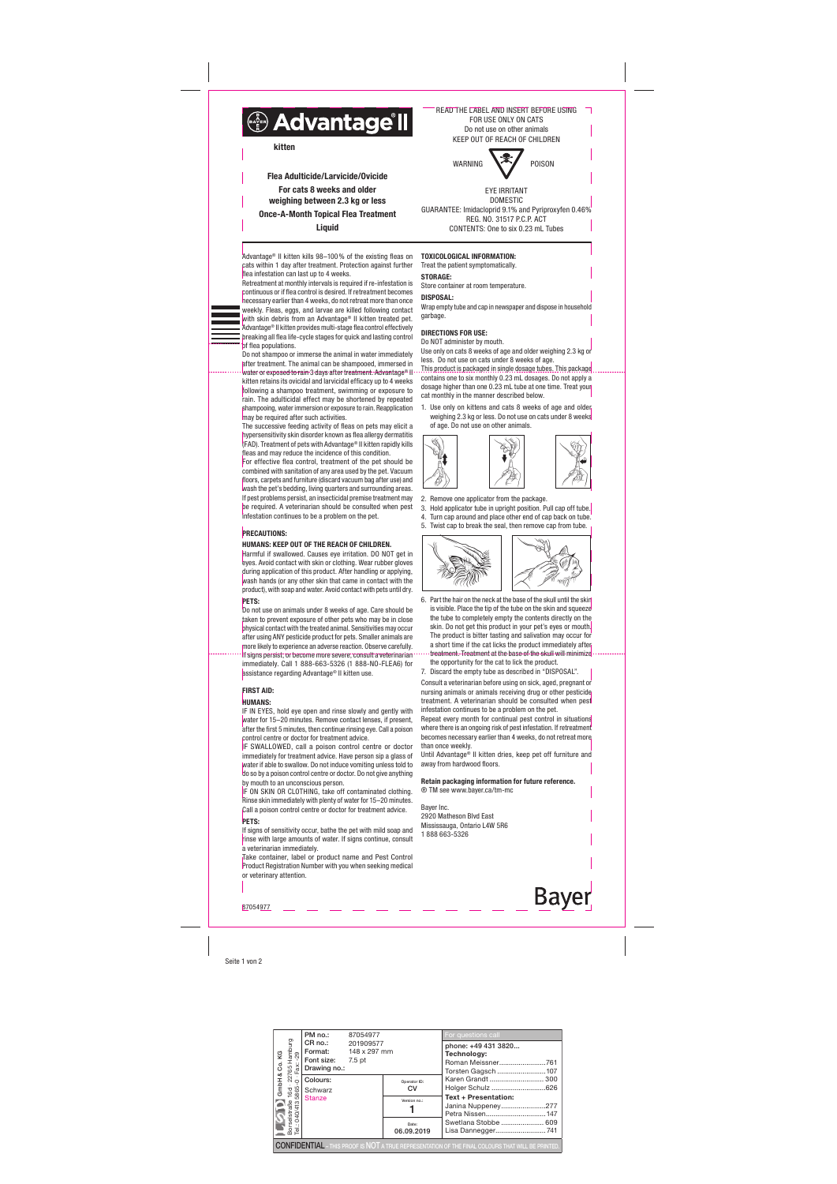| elstraße 16d · 22765 Hamburg<br>040/4135865-0 · Fax: -29<br>Co. KG                                       | PM no.:                                                              | 87054977            |                     | For questions call                                                                          |  |  |  |  |
|----------------------------------------------------------------------------------------------------------|----------------------------------------------------------------------|---------------------|---------------------|---------------------------------------------------------------------------------------------|--|--|--|--|
|                                                                                                          | CR no.:<br><b>Format:</b> 148 x 297 mm<br>Font size:<br>Drawing no.: | 201909577<br>7.5 pt |                     | phone: +49 431 3820<br>Technology:<br>Roman Meissner761<br>Torsten Gagsch 107               |  |  |  |  |
| ∞<br>GmbH                                                                                                | Colours:<br>Schwarz<br><b>Stanze</b>                                 |                     | Operator ID:<br>CV  | Karen Grandt  300<br>Holger Schulz 626<br><b>Text + Presentation:</b><br>Janina Nuppeney277 |  |  |  |  |
|                                                                                                          |                                                                      |                     | Version no.:        |                                                                                             |  |  |  |  |
| Borselstraße<br>Tel.: 040/4135                                                                           |                                                                      |                     | Date:<br>06.09.2019 | Swetlana Stobbe  609<br>Lisa Dannegger741                                                   |  |  |  |  |
| <b>CONFIDENTIAL</b> - THIS PROOF IS NOT A TRUE REPRESENTATION OF THE FINAL COLOURS THAT WILL BE PRINTED. |                                                                      |                     |                     |                                                                                             |  |  |  |  |

Retreatment at monthly intervals is required if re-infestation is continuous or if flea control is desired. If retreatment becomes necessary earlier than 4 weeks, do not retreat more than once weekly. Fleas, eggs, and larvae are killed following contact with skin debris from an Advantage® II kitten treated pet. Advantage® II kitten provides multi-stage flea control effectively breaking all flea life-cycle stages for quick and lasting control of flea populations.

Seite 1 von 2

Advantage® II kitten kills 98–100% of the existing fleas on cats within 1 day after treatment. Protection against further flea infestation can last up to 4 weeks.

Do not shampoo or immerse the animal in water immediately after treatment. The animal can be shampooed, immersed in water or exposed to rain 3 days after treatment. Advantage® II kitten retains its ovicidal and larvicidal efficacy up to 4 weeks following a shampoo treatment, swimming or exposure to rain. The adulticidal effect may be shortened by repeated shampooing, water immersion or exposure to rain. Reapplication may be required after such activities.

The successive feeding activity of fleas on pets may elicit a hypersensitivity skin disorder known as flea allergy dermatitis (FAD). Treatment of pets with Advantage® II kitten rapidly kills fleas and may reduce the incidence of this condition.

For effective flea control, treatment of the pet should be combined with sanitation of any area used by the pet. Vacuum floors, carpets and furniture (discard vacuum bag after use) and wash the pet's bedding, living quarters and surrounding areas. If pest problems persist, an insecticidal premise treatment may be required. A veterinarian should be consulted when pest infestation continues to be a problem on the pet.

### PRECAUTIONS:

### HUMANS: KEEP OUT OF THE REACH OF CHILDREN.

Harmful if swallowed. Causes eye irritation. DO NOT get in eyes. Avoid contact with skin or clothing. Wear rubber gloves during application of this product. After handling or applying, wash hands (or any other skin that came in contact with the product), with soap and water. Avoid contact with pets until dry. PETS:

Do not use on animals under 8 weeks of age. Care should be taken to prevent exposure of other pets who may be in close physical contact with the treated animal. Sensitivities may occur after using ANY pesticide product for pets. Smaller animals are more likely to experience an adverse reaction. Observe carefully. If signs persist, or become more severe, consult a veterinarian immediately. Call 1 888-663-5326 (1 888-NO-FLEA6) for assistance regarding Advantage® II kitten use.

# FIRST AID:

# HUMANS:

**Bayer** 87054977

IF IN EYES, hold eye open and rinse slowly and gently with water for 15–20 minutes. Remove contact lenses, if present, after the first 5 minutes, then continue rinsing eye. Call a poison

control centre or doctor for treatment advice. IF SWALLOWED, call a poison control centre or doctor immediately for treatment advice. Have person sip a glass of water if able to swallow. Do not induce vomiting unless told to do so by a poison control centre or doctor. Do not give anything by mouth to an unconscious person.

IF ON SKIN OR CLOTHING, take off contaminated clothing. Rinse skin immediately with plenty of water for 15–20 minutes. Call a poison control centre or doctor for treatment advice. PETS:

If signs of sensitivity occur, bathe the pet with mild soap and rinse with large amounts of water. If signs continue, consult a veterinarian immediately.

Take container, label or product name and Pest Control Product Registration Number with you when seeking medical or veterinary attention.

# TOXICOLOGICAL INFORMATION:

Treat the patient symptomatically. STORAGE:

Store container at room temperature.

DISPOSAL:

Wrap empty tube and cap in newspaper and dispose in household garbage.

### DIRECTIONS FOR USE:

Do NOT administer by mouth. Use only on cats 8 weeks of age and older weighing 2.3 kg or less. Do not use on cats under 8 weeks of age.

This product is packaged in single dosage tubes. This package contains one to six monthly 0.23 mL dosages. Do not apply a dosage higher than one 0.23 mL tube at one time. Treat your cat monthly in the manner described below.

1. Use only on kittens and cats 8 weeks of age and older weighing 2.3 kg or less. Do not use on cats under 8 weeks of age. Do not use on other animals.



#### 2. Remove one applicator from the package.

3. Hold applicator tube in upright position. Pull cap off tube. 4. Turn cap around and place other end of cap back on tube. 5. Twist cap to break the seal, then remove cap from tube.



- 6. Part the hair on the neck at the base of the skull until the skin is visible. Place the tip of the tube on the skin and squeeze the tube to completely empty the contents directly on the skin. Do not get this product in your pet's eyes or mouth. The product is bitter tasting and salivation may occur for a short time if the cat licks the product immediately after treatment. Treatment at the base of the skull will minimize
- the opportunity for the cat to lick the product. 7. Discard the empty tube as described in "DISPOSAL".

Consult a veterinarian before using on sick, aged, pregnant or nursing animals or animals receiving drug or other pesticide treatment. A veterinarian should be consulted when pest infestation continues to be a problem on the pet.

Repeat every month for continual pest control in situations where there is an ongoing risk of pest infestation. If retreatment becomes necessary earlier than 4 weeks, do not retreat more than once weekly.

Until Advantage® II kitten dries, keep pet off furniture and away from hardwood floors.

# Retain packaging information for future reference.

® TM see www.bayer.ca/tm-mc Bayer Inc.

2920 Matheson Blvd East Mississauga, Ontario L4W 5R6 1 888 663-5326



Do not use on other animals KEEP OUT OF REACH OF CHILDREN

WARNING V<sup>3</sup>/ POISON

EYE IRRITANT DOMESTIC GUARANTEE: Imidacloprid 9.1% and Pyriproxyfen 0.46% REG. NO. 31517 P.C.P. ACT CONTENTS: One to six 0.23 mL Tubes